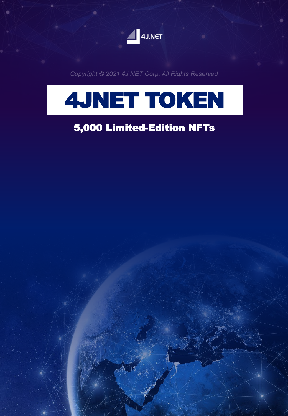

Copyright © 2021 4J.NET Corp. All Rights Reserved



### 5,000 Limited-Edition NFTs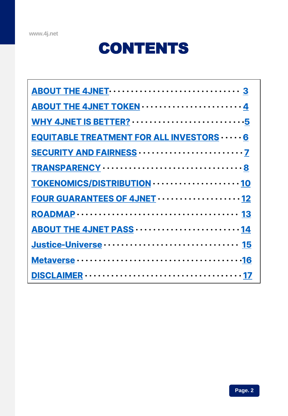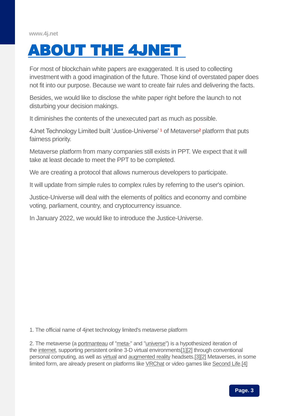<span id="page-2-0"></span>

For most of blockchain white papers are exaggerated. It is used to collecting investment with a good imagination of the future. Those kind of overstated paper does not fit into our purpose. Because we want to create fair rules and delivering the facts.

Besides, we would like to disclose the white paper right before the launch to not disturbing your decision makings.

It diminishes the contents of the unexecuted part as much as possible.

4Jnet Technology Limited built 'Justice-Universe'<sup>1</sup> of Metaverse<sup>2</sup> platform that puts fairness priority.

Metaverse platform from many companies still exists in PPT. We expect that it will take at least decade to meet the PPT to be completed.

We are creating a protocol that allows numerous developers to participate.

It will update from simple rules to complex rules by referring to the user's opinion.

Justice-Universe will deal with the elements of politics and economy and combine voting, parliament, country, and cryptocurrency issuance.

In January 2022, we would like to introduce the Justice-Universe.

1. The official name of 4jnet technology limited's metaverse platform

2. The metaverse (a [portmanteau](https://en.wikipedia.org/wiki/Portmanteau) of ["meta-](https://en.wikipedia.org/wiki/Meta)" and ["universe](https://en.wikipedia.org/wiki/Universe)") is a hypothesized iteration of the [internet,](https://en.wikipedia.org/wiki/Internet) supporting persistent online 3-D virtual environment[s\[1\]\[2\]](https://en.wikipedia.org/wiki/Metaverse#cite_note-1) through conventional personal computing, as well as [virtual](https://en.wikipedia.org/wiki/Virtual_reality) and [augmented reality](https://en.wikipedia.org/wiki/Augmented_reality) headsets[.\[3\]\[2\]](https://en.wikipedia.org/wiki/Metaverse#cite_note-:62-3) Metaverses, in some limited form, are already present on platforms like [VRChat](https://en.wikipedia.org/wiki/VRChat) or video games like [Second Life](https://en.wikipedia.org/wiki/Second_Life)[.\[4\]](https://en.wikipedia.org/wiki/Metaverse#cite_note-:0-4)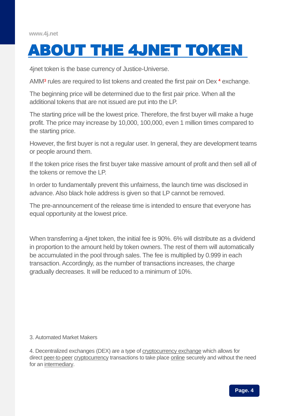### <span id="page-3-0"></span>[ABOUT THE 4JNET TOKEN](#page-3-0)

4jnet token is the base currency of Justice-Universe.

AMM<sup>3</sup> rules are required to list tokens and created the first pair on Dex <sup>4</sup> exchange.

The beginning price will be determined due to the first pair price. When all the additional tokens that are not issued are put into the LP.

The starting price will be the lowest price. Therefore, the first buyer will make a huge profit. The price may increase by 10,000, 100,000, even 1 million times compared to the starting price.

However, the first buyer is not a regular user. In general, they are development teams or people around them.

If the token price rises the first buyer take massive amount of profit and then sell all of the tokens or remove the LP.

In order to fundamentally prevent this unfairness, the launch time was disclosed in advance. Also black hole address is given so that LP cannot be removed.

The pre-announcement of the release time is intended to ensure that everyone has equal opportunity at the lowest price.

When transferring a 4jnet token, the initial fee is 90%. 6% will distribute as a dividend in proportion to the amount held by token owners. The rest of them will automatically be accumulated in the pool through sales. The fee is multiplied by 0.999 in each transaction. Accordingly, as the number of transactions increases, the charge gradually decreases. It will be reduced to a minimum of 10%.

#### 3. Automated Market Makers

4. Decentralized exchanges (DEX) are a type of [cryptocurrency exchange](https://en.wikipedia.org/wiki/Cryptocurrency_exchange) which allows for direct [peer-to-peer](https://en.wikipedia.org/wiki/Peer-to-peer) [cryptocurrency](https://en.wikipedia.org/wiki/Cryptocurrency) transactions to take place [online](https://en.wikipedia.org/wiki/Online) securely and without the need for an [intermediary.](https://en.wikipedia.org/wiki/Intermediary)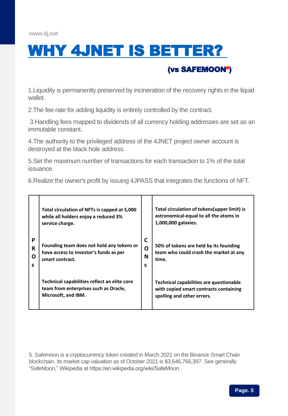<span id="page-4-0"></span>

#### 1.Liquidity is permanently preserved by incineration of the recovery rights in the liquid wallet.

(vs SAFEMOON⁵)

2.The fee rate for adding liquidity is entirely controlled by the contract.

3.Handling fees mapped to dividends of all currency holding addresses are set as an immutable constant.

4.The authority to the privileged address of the 4JNET project owner account is destroyed at the black hole address.

5.Set the maximum number of transactions for each transaction to 1% of the total issuance.

6.Realize the owner's profit by issuing 4JPASS that integrates the functions of NFT.

|                  | Total circulation of NFTs is capped at 5,000<br>while all holders enjoy a reduced 3%<br>service charge.      |                  | Total circulation of tokens (upper limit) is<br>astronomical-equal to all the atoms in<br>1,000,000 galaxies.   |
|------------------|--------------------------------------------------------------------------------------------------------------|------------------|-----------------------------------------------------------------------------------------------------------------|
| P<br>R<br>O<br>S | Founding team does not hold any tokens or<br>have access to investor's funds as per<br>smart contract.       | C<br>Ο<br>N<br>s | 50% of tokens are held by its founding<br>team who could crash the market at any<br>time.                       |
|                  | Technical capabilities reflect an elite core<br>team from enterprises such as Oracle,<br>Microsoft, and IBM. |                  | Technical capabilities are questionable<br>with copied smart contracts containing<br>spelling and other errors. |

5. Safemoon is a cryptocurrency token created in March 2021 on the Binance Smart Chain blockchain. Its market cap valuation as of October 2021 is \$3,646,766,397. See generally "SafeMoon," Wikipedia at https://en.wikipedia.org/wiki/SafeMoon.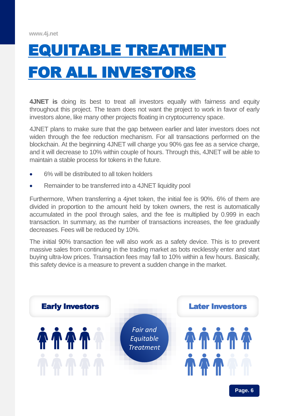# <span id="page-5-0"></span>[EQUITABLE TREATMENT](#page-5-0) [FOR ALL INVESTORS](#page-5-0)

**4JNET is** doing its best to treat all investors equally with fairness and equity throughout this project. The team does not want the project to work in favor of early investors alone, like many other projects floating in cryptocurrency space.

4JNET plans to make sure that the gap between earlier and later investors does not widen through the fee reduction mechanism. For all transactions performed on the blockchain. At the beginning 4JNET will charge you 90% gas fee as a service charge, and it will decrease to 10% within couple of hours. Through this, 4JNET will be able to maintain a stable process for tokens in the future.

- 6% will be distributed to all token holders
- Remainder to be transferred into a 4JNET liquidity pool

Furthermore, When transferring a 4jnet token, the initial fee is 90%. 6% of them are divided in proportion to the amount held by token owners, the rest is automatically accumulated in the pool through sales, and the fee is multiplied by 0.999 in each transaction. In summary, as the number of transactions increases, the fee gradually decreases. Fees will be reduced by 10%.

The initial 90% transaction fee will also work as a safety device. This is to prevent massive sales from continuing in the trading market as bots recklessly enter and start buying ultra-low prices. Transaction fees may fall to 10% within a few hours. Basically, this safety device is a measure to prevent a sudden change in the market.

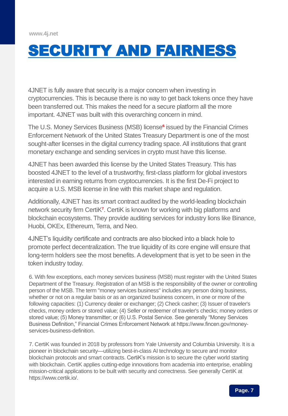## <span id="page-6-0"></span>[SECURITY AND FAIRNESS](#page-6-0)

4JNET is fully aware that security is a major concern when investing in cryptocurrencies. This is because there is no way to get back tokens once they have been transferred out. This makes the need for a secure platform all the more important. 4JNET was built with this overarching concern in mind.

The U.S. Money Services Business (MSB) license<sup>6</sup> issued by the Financial Crimes Enforcement Network of the United States Treasury Department is one of the most sought-after licenses in the digital currency trading space. All institutions that grant monetary exchange and sending services in crypto must have this license.

4JNET has been awarded this license by the United States Treasury. This has boosted 4JNET to the level of a trustworthy, first-class platform for global investors interested in earning returns from cryptocurrencies. It is the first De-Fi project to acquire a U.S. MSB license in line with this market shape and regulation.

Additionally, 4JNET has its smart contract audited by the world-leading blockchain network security firm CertiK<sup>7</sup>. CertiK is known for working with big platforms and blockchain ecosystems. They provide auditing services for industry lions like Binance, Huobi, OKEx, Ethereum, Terra, and Neo.

4JNET's liquidity certificate and contracts are also blocked into a black hole to promote perfect decentralization. The true liquidity of its core engine will ensure that long-term holders see the most benefits. A development that is yet to be seen in the token industry today.

6. With few exceptions, each money services business (MSB) must register with the United States Department of the Treasury. Registration of an MSB is the responsibility of the owner or controlling person of the MSB. The term "money services business" includes any person doing business, whether or not on a regular basis or as an organized business concern, in one or more of the following capacities: (1) Currency dealer or exchanger; (2) Check casher; (3) Issuer of traveler's checks, money orders or stored value; (4) Seller or redeemer of traveler's checks; money orders or stored value; (5) Money transmitter; or (6) U.S. Postal Service. See generally "Money Services Business Definition," Financial Crimes Enforcement Network at https://www.fincen.gov/moneyservices-business-definition.

7. CertiK was founded in 2018 by professors from Yale University and Columbia University. It is a pioneer in blockchain security—utilizing best-in-class AI technology to secure and monitor blockchain protocols and smart contracts. CertiK's mission is to secure the cyber world starting with blockchain. CertiK applies cutting-edge innovations from academia into enterprise, enabling mission-critical applications to be built with security and correctness. See generally CertiK at https://www.certik.io/.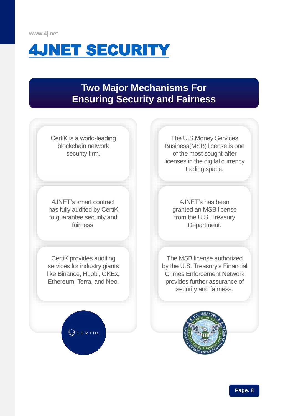<span id="page-7-0"></span>

### **Two Major Mechanisms For Ensuring Security and Fairness**



**Page. 8**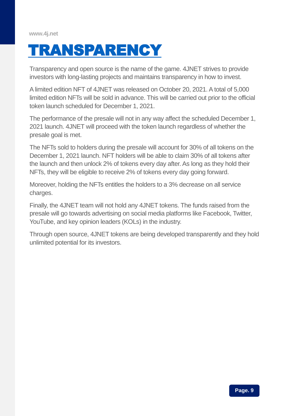<span id="page-8-0"></span>

Transparency and open source is the name of the game. 4JNET strives to provide investors with long-lasting projects and maintains transparency in how to invest.

A limited edition NFT of 4JNET was released on October 20, 2021. A total of 5,000 limited edition NFTs will be sold in advance. This will be carried out prior to the official token launch scheduled for December 1, 2021.

The performance of the presale will not in any way affect the scheduled December 1, 2021 launch. 4JNET will proceed with the token launch regardless of whether the presale goal is met.

The NFTs sold to holders during the presale will account for 30% of all tokens on the December 1, 2021 launch. NFT holders will be able to claim 30% of all tokens after the launch and then unlock 2% of tokens every day after. As long as they hold their NFTs, they will be eligible to receive 2% of tokens every day going forward.

Moreover, holding the NFTs entitles the holders to a 3% decrease on all service charges.

Finally, the 4JNET team will not hold any 4JNET tokens. The funds raised from the presale will go towards advertising on social media platforms like Facebook, Twitter, YouTube, and key opinion leaders (KOLs) in the industry.

Through open source, 4JNET tokens are being developed transparently and they hold unlimited potential for its investors.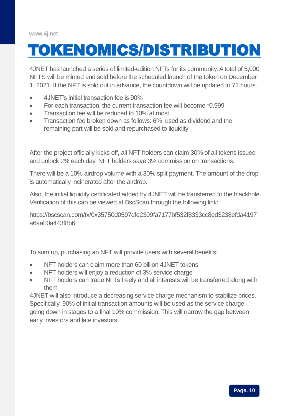## <span id="page-9-0"></span>[TOKENOMICS/DISTRIBUTION](#page-9-0)

4JNET has launched a series of limited-edition NFTs for its community. A total of 5,000 NFTS will be minted and sold before the scheduled launch of the token on December 1, 2021. If the NFT is sold out in advance, the countdown will be updated to 72 hours.

- 4JNET's initial transaction fee is 90%
- For each transaction, the current transaction fee will become \*0.999
- Transaction fee will be reduced to 10% at most
- Transaction fee broken down as follows: 6% used as dividend and the remaining part will be sold and repurchased to liquidity

After the project officially kicks off, all NFT holders can claim 30% of all tokens issued and unlock 2% each day. NFT holders save 3% commission on transactions.

There will be a 10% airdrop volume with a 30% split payment. The amount of the drop is automatically incinerated after the airdrop.

Also, the initial liquidity certificated added by 4JNET will be transferred to the blackhole. Verification of this can be viewed at BscScan through the following link:

[https://bscscan.com/tx/0x35750d0597dfe2309fa7177bf532f8333cc8ed3238efda4197](https://bscscan.com/tx/0x35750d0597dfe2309fa7177bf532f8333cc8ed3238efda4197a6aab0a443f8b6) a6aab0a443f8b6

To sum up, purchasing an NFT will provide users with several benefits:

- NFT holders can claim more than 60 billion 4JNET tokens
- NFT holders will enjoy a reduction of 3% service charge
- NFT holders can trade NFTs freely and all interests will be transferred along with them

4JNET will also introduce a decreasing service charge mechanism to stabilize prices. Specifically, 90% of initial transaction amounts will be used as the service charge going down in stages to a final 10% commission. This will narrow the gap between early investors and late investors.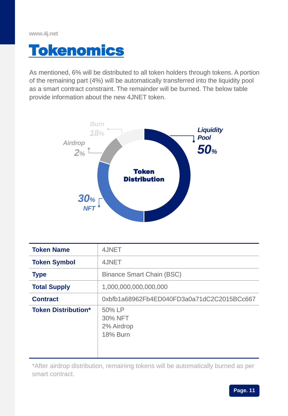### <span id="page-10-0"></span>[Tokenomics](#page-10-0)

As mentioned, 6% will be distributed to all token holders through tokens. A portion of the remaining part (4%) will be automatically transferred into the liquidity pool as a smart contract constraint. The remainder will be burned. The below table provide information about the new 4JNET token.



| <b>Token Name</b>          | 4JNET                                              |
|----------------------------|----------------------------------------------------|
| <b>Token Symbol</b>        | 4JNET                                              |
| <b>Type</b>                | <b>Binance Smart Chain (BSC)</b>                   |
| <b>Total Supply</b>        | 1,000,000,000,000,000                              |
| <b>Contract</b>            | 0xbfb1a68962Fb4ED040FD3a0a71dC2C2015BCc667         |
| <b>Token Distribution*</b> | 50% LP<br>30% NFT<br>2% Airdrop<br><b>18% Burn</b> |

\*After airdrop distribution, remaining tokens will be automatically burned as per smart contract.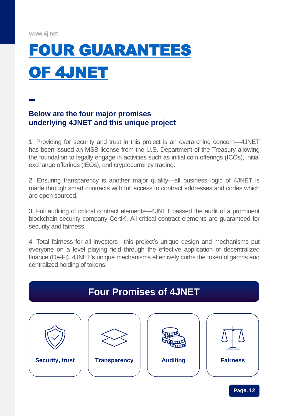# <span id="page-11-0"></span>[FOUR GUARANTEES](#page-11-0) [OF 4JNET](#page-11-0)

#### **Below are the four major promises underlying 4JNET and this unique project**

1. Providing for security and trust in this project is an overarching concern—4JNET has been issued an MSB license from the U.S. Department of the Treasury allowing the foundation to legally engage in activities such as initial coin offerings (ICOs), initial exchange offerings (IEOs), and cryptocurrency trading.

2. Ensuring transparency is another major quality—all business logic of 4JNET is made through smart contracts with full access to contract addresses and codes which are open sourced.

3. Full auditing of critical contract elements—4JNET passed the audit of a prominent blockchain security company CertiK. All critical contract elements are guaranteed for security and fairness.

4. Total fairness for all investors—this project's unique design and mechanisms put everyone on a level playing field through the effective application of decentralized finance (De-Fi). 4JNET's unique mechanisms effectively curbs the token oligarchs and centralized holding of tokens.

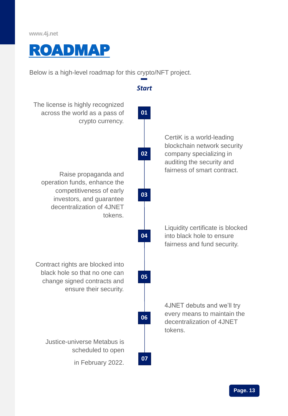<span id="page-12-0"></span>

Below is a high-level roadmap for this crypto/NFT project.

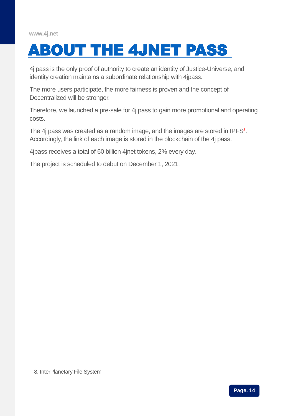<span id="page-13-0"></span>

4j pass is the only proof of authority to create an identity of Justice-Universe, and identity creation maintains a subordinate relationship with 4jpass.

The more users participate, the more fairness is proven and the concept of Decentralized will be stronger.

Therefore, we launched a pre-sale for 4j pass to gain more promotional and operating costs.

The 4j pass was created as a random image, and the images are stored in IPFS<sup>8</sup>. Accordingly, the link of each image is stored in the blockchain of the 4j pass.

4jpass receives a total of 60 billion 4jnet tokens, 2% every day.

The project is scheduled to debut on December 1, 2021.

8. InterPlanetary File System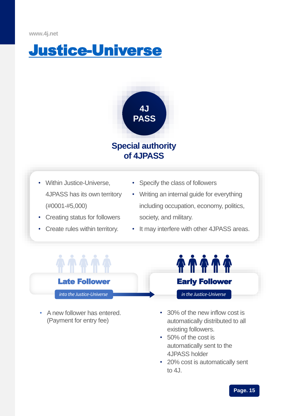<span id="page-14-0"></span>



- Within Justice-Universe, 4JPASS has its own territory (#0001-#5,000)
- Creating status for followers
- Create rules within territory.
- Specify the class of followers
- Writing an internal guide for everything including occupation, economy, politics, society, and military.
- It may interfere with other 4JPASS areas.



• A new follower has entered. (Payment for entry fee)



- 30% of the new inflow cost is automatically distributed to all existing followers.
- 50% of the cost is automatically sent to the 4JPASS holder
- 20% cost is automatically sent to  $4<sub>1</sub>$ .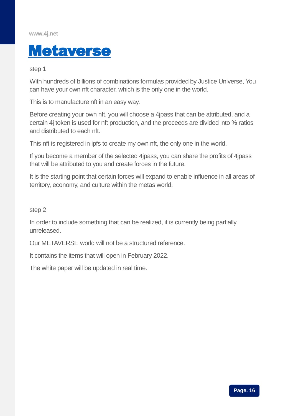<span id="page-15-0"></span>

step 1

With hundreds of billions of combinations formulas provided by Justice Universe, You can have your own nft character, which is the only one in the world.

This is to manufacture nft in an easy way.

Before creating your own nft, you will choose a 4jpass that can be attributed, and a certain 4j token is used for nft production, and the proceeds are divided into % ratios and distributed to each nft.

This nft is registered in ipfs to create my own nft, the only one in the world.

If you become a member of the selected 4jpass, you can share the profits of 4jpass that will be attributed to you and create forces in the future.

It is the starting point that certain forces will expand to enable influence in all areas of territory, economy, and culture within the metas world.

step 2

In order to include something that can be realized, it is currently being partially unreleased.

Our METAVERSE world will not be a structured reference.

It contains the items that will open in February 2022.

The white paper will be updated in real time.